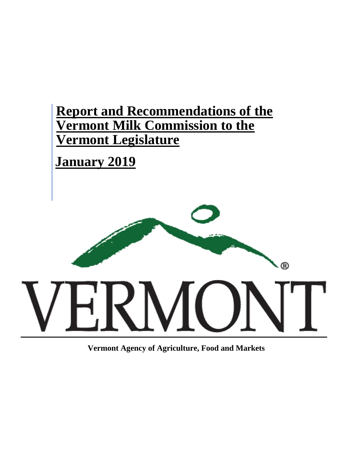# **Report and Recommendations of the Vermont Milk Commission to the Vermont Legislature**

# **January 2019**



**Vermont Agency of Agriculture, Food and Markets**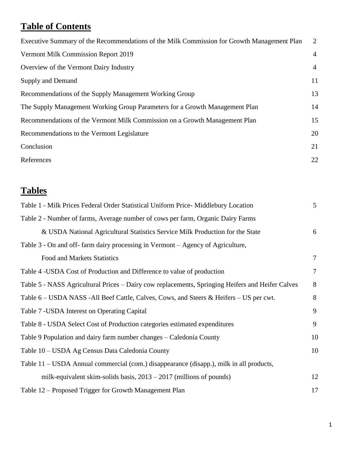## **Table of Contents**

| Executive Summary of the Recommendations of the Milk Commission for Growth Management Plan | 2              |
|--------------------------------------------------------------------------------------------|----------------|
| Vermont Milk Commission Report 2019                                                        | $\overline{4}$ |
| Overview of the Vermont Dairy Industry                                                     | $\overline{4}$ |
| Supply and Demand                                                                          | 11             |
| Recommendations of the Supply Management Working Group                                     | 13             |
| The Supply Management Working Group Parameters for a Growth Management Plan                | 14             |
| Recommendations of the Vermont Milk Commission on a Growth Management Plan                 | 15             |
| Recommendations to the Vermont Legislature                                                 | 20             |
| Conclusion                                                                                 | 21             |
| References                                                                                 | 22             |
|                                                                                            |                |

## **Tables**

| Table 1 - Milk Prices Federal Order Statistical Uniform Price- Middlebury Location               | $5\overline{)}$ |
|--------------------------------------------------------------------------------------------------|-----------------|
| Table 2 - Number of farms, Average number of cows per farm, Organic Dairy Farms                  |                 |
| & USDA National Agricultural Statistics Service Milk Production for the State                    | 6               |
| Table 3 - On and off- farm dairy processing in Vermont – Agency of Agriculture,                  |                 |
| Food and Markets Statistics                                                                      | $\tau$          |
| Table 4 -USDA Cost of Production and Difference to value of production                           | $\tau$          |
| Table 5 - NASS Agricultural Prices – Dairy cow replacements, Springing Heifers and Heifer Calves | 8               |
| Table 6 – USDA NASS -All Beef Cattle, Calves, Cows, and Steers & Heifers – US per cwt.           | 8               |
| Table 7 - USDA Interest on Operating Capital                                                     | 9               |
| Table 8 - USDA Select Cost of Production categories estimated expenditures                       | 9               |
| Table 9 Population and dairy farm number changes – Caledonia County                              | 10              |
| Table 10 – USDA Ag Census Data Caledonia County                                                  | 10              |
| Table 11 - USDA Annual commercial (com.) disappearance (disapp.), milk in all products,          |                 |
| milk-equivalent skim-solids basis, $2013 - 2017$ (millions of pounds)                            | 12              |
| Table 12 – Proposed Trigger for Growth Management Plan                                           | 17              |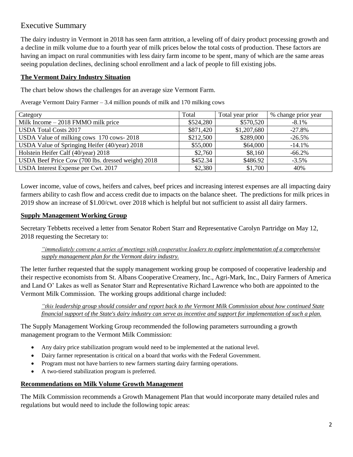## Executive Summary

The dairy industry in Vermont in 2018 has seen farm attrition, a leveling off of dairy product processing growth and a decline in milk volume due to a fourth year of milk prices below the total costs of production. These factors are having an impact on rural communities with less dairy farm income to be spent, many of which are the same areas seeing population declines, declining school enrollment and a lack of people to fill existing jobs.

## **The Vermont Dairy Industry Situation**

The chart below shows the challenges for an average size Vermont Farm.

Average Vermont Dairy Farmer – 3.4 million pounds of milk and 170 milking cows

| Category                                           | Total     | Total year prior | % change prior year |
|----------------------------------------------------|-----------|------------------|---------------------|
| Milk Income $-2018$ FMMO milk price                | \$524,280 | \$570,520        | $-8.1\%$            |
| <b>USDA Total Costs 2017</b>                       | \$871,420 | \$1,207,680      | $-27.8%$            |
| USDA Value of milking cows 170 cows-2018           | \$212,500 | \$289,000        | $-26.5%$            |
| USDA Value of Springing Heifer (40/year) 2018      | \$55,000  | \$64,000         | $-14.1%$            |
| Holstein Heifer Calf (40/year) 2018                | \$2,760   | \$8,160          | $-66.2%$            |
| USDA Beef Price Cow (700 lbs. dressed weight) 2018 | \$452.34  | \$486.92         | $-3.5\%$            |
| USDA Interest Expense per Cwt. 2017                | \$2,380   | \$1,700          | 40%                 |

Lower income, value of cows, heifers and calves, beef prices and increasing interest expenses are all impacting dairy farmers ability to cash flow and access credit due to impacts on the balance sheet. The predictions for milk prices in 2019 show an increase of \$1.00/cwt. over 2018 which is helpful but not sufficient to assist all dairy farmers.

### **Supply Management Working Group**

Secretary Tebbetts received a letter from Senator Robert Starr and Representative Carolyn Partridge on May 12, 2018 requesting the Secretary to:

*"immediately convene a series of meetings with cooperative leaders to explore implementation of a comprehensive supply management plan for the Vermont dairy industry.*

The letter further requested that the supply management working group be composed of cooperative leadership and their respective economists from St. Albans Cooperative Creamery, Inc., Agri-Mark, Inc., Dairy Farmers of America and Land O' Lakes as well as Senator Starr and Representative Richard Lawrence who both are appointed to the Vermont Milk Commission. The working groups additional charge included:

*"this leadership group should consider and report back to the Vermont Milk Commission about how continued State financial support of the State's dairy industry can serve as incentive and support for implementation of such a plan.*

The Supply Management Working Group recommended the following parameters surrounding a growth management program to the Vermont Milk Commission:

- Any dairy price stabilization program would need to be implemented at the national level.
- Dairy farmer representation is critical on a board that works with the Federal Government.
- Program must not have barriers to new farmers starting dairy farming operations.
- A two-tiered stabilization program is preferred.

### **Recommendations on Milk Volume Growth Management**

The Milk Commission recommends a Growth Management Plan that would incorporate many detailed rules and regulations but would need to include the following topic areas: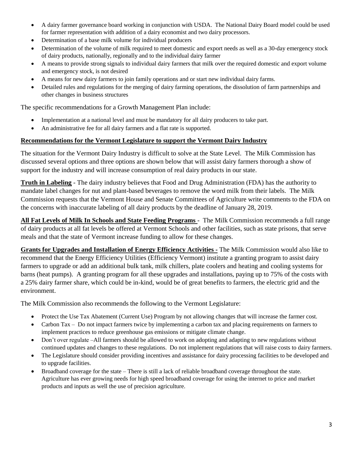- A dairy farmer governance board working in conjunction with USDA. The National Dairy Board model could be used for farmer representation with addition of a dairy economist and two dairy processors.
- Determination of a base milk volume for individual producers
- Determination of the volume of milk required to meet domestic and export needs as well as a 30-day emergency stock of dairy products, nationally, regionally and to the individual dairy farmer
- A means to provide strong signals to individual dairy farmers that milk over the required domestic and export volume and emergency stock, is not desired
- A means for new dairy farmers to join family operations and or start new individual dairy farms.
- Detailed rules and regulations for the merging of dairy farming operations, the dissolution of farm partnerships and other changes in business structures

The specific recommendations for a Growth Management Plan include:

- Implementation at a national level and must be mandatory for all dairy producers to take part.
- An administrative fee for all dairy farmers and a flat rate is supported.

#### **Recommendations for the Vermont Legislature to support the Vermont Dairy Industry**

The situation for the Vermont Dairy Industry is difficult to solve at the State Level. The Milk Commission has discussed several options and three options are shown below that will assist dairy farmers thorough a show of support for the industry and will increase consumption of real dairy products in our state.

**Truth in Labeling** - The dairy industry believes that Food and Drug Administration (FDA) has the authority to mandate label changes for nut and plant-based beverages to remove the word milk from their labels. The Milk Commission requests that the Vermont House and Senate Committees of Agriculture write comments to the FDA on the concerns with inaccurate labeling of all dairy products by the deadline of January 28, 2019.

**All Fat Levels of Milk In Schools and State Feeding Programs** - The Milk Commission recommends a full range of dairy products at all fat levels be offered at Vermont Schools and other facilities, such as state prisons, that serve meals and that the state of Vermont increase funding to allow for these changes.

**Grants for Upgrades and Installation of Energy Efficiency Activities -** The Milk Commission would also like to recommend that the Energy Efficiency Utilities (Efficiency Vermont) institute a granting program to assist dairy farmers to upgrade or add an additional bulk tank, milk chillers, plate coolers and heating and cooling systems for barns (heat pumps). A granting program for all these upgrades and installations, paying up to 75% of the costs with a 25% dairy farmer share, which could be in-kind, would be of great benefits to farmers, the electric grid and the environment.

The Milk Commission also recommends the following to the Vermont Legislature:

- Protect the Use Tax Abatement (Current Use) Program by not allowing changes that will increase the farmer cost.
- Carbon Tax Do not impact farmers twice by implementing a carbon tax and placing requirements on farmers to implement practices to reduce greenhouse gas emissions or mitigate climate change.
- Don't over regulate –All farmers should be allowed to work on adopting and adapting to new regulations without continued updates and changes to these regulations. Do not implement regulations that will raise costs to dairy farmers.
- The Legislature should consider providing incentives and assistance for dairy processing facilities to be developed and to upgrade facilities.
- Broadband coverage for the state There is still a lack of reliable broadband coverage throughout the state. Agriculture has ever growing needs for high speed broadband coverage for using the internet to price and market products and inputs as well the use of precision agriculture.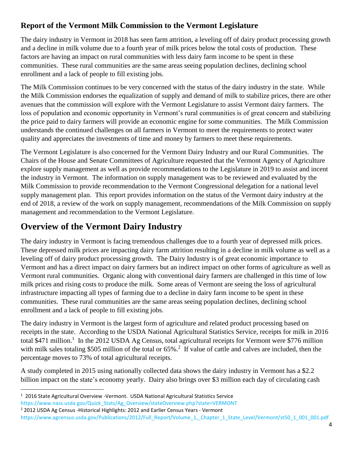## **Report of the Vermont Milk Commission to the Vermont Legislature**

The dairy industry in Vermont in 2018 has seen farm attrition, a leveling off of dairy product processing growth and a decline in milk volume due to a fourth year of milk prices below the total costs of production. These factors are having an impact on rural communities with less dairy farm income to be spent in these communities. These rural communities are the same areas seeing population declines, declining school enrollment and a lack of people to fill existing jobs.

The Milk Commission continues to be very concerned with the status of the dairy industry in the state. While the Milk Commission endorses the equalization of supply and demand of milk to stabilize prices, there are other avenues that the commission will explore with the Vermont Legislature to assist Vermont dairy farmers. The loss of population and economic opportunity in Vermont's rural communities is of great concern and stabilizing the price paid to dairy farmers will provide an economic engine for some communities. The Milk Commission understands the continued challenges on all farmers in Vermont to meet the requirements to protect water quality and appreciates the investments of time and money by farmers to meet these requirements.

The Vermont Legislature is also concerned for the Vermont Dairy Industry and our Rural Communities. The Chairs of the House and Senate Committees of Agriculture requested that the Vermont Agency of Agriculture explore supply management as well as provide recommendations to the Legislature in 2019 to assist and incent the industry in Vermont. The information on supply management was to be reviewed and evaluated by the Milk Commission to provide recommendation to the Vermont Congressional delegation for a national level supply management plan. This report provides information on the status of the Vermont dairy industry at the end of 2018, a review of the work on supply management, recommendations of the Milk Commission on supply management and recommendation to the Vermont Legislature.

## **Overview of the Vermont Dairy Industry**

The dairy industry in Vermont is facing tremendous challenges due to a fourth year of depressed milk prices. These depressed milk prices are impacting dairy farm attrition resulting in a decline in milk volume as well as a leveling off of dairy product processing growth. The Dairy Industry is of great economic importance to Vermont and has a direct impact on dairy farmers but an indirect impact on other forms of agriculture as well as Vermont rural communities. Organic along with conventional dairy farmers are challenged in this time of low milk prices and rising costs to produce the milk. Some areas of Vermont are seeing the loss of agricultural infrastructure impacting all types of farming due to a decline in dairy farm income to be spent in these communities. These rural communities are the same areas seeing population declines, declining school enrollment and a lack of people to fill existing jobs.

The dairy industry in Vermont is the largest form of agriculture and related product processing based on receipts in the state. According to the USDA National Agricultural Statistics Service, receipts for milk in 2016 total \$471 million.<sup>1</sup> In the 2012 USDA Ag Census, total agricultural receipts for Vermont were \$776 million with milk sales totaling \$505 million of the total or  $65\%$ .<sup>2</sup> If value of cattle and calves are included, then the percentage moves to 73% of total agricultural receipts.

A study completed in 2015 using nationally collected data shows the dairy industry in Vermont has a \$2.2 billion impact on the state's economy yearly. Dairy also brings over \$3 million each day of circulating cash

 $\overline{\phantom{a}}$ 

<sup>&</sup>lt;sup>1</sup> 2016 State Agricultural Overview -Vermont. USDA National Agricultural Statistics Service [https://www.nass.usda.gov/Quick\\_Stats/Ag\\_Overview/stateOverview.php?state=VERMONT](https://www.nass.usda.gov/Quick_Stats/Ag_Overview/stateOverview.php?state=VERMONT) <sup>2</sup> 2012 USDA Ag Census -Historical Highlights: 2012 and Earlier Census Years - Vermont

https://www.agcensus.usda.gov/Publications/2012/Full\_Report/Volume\_1,\_Chapter\_1\_State\_Level/Vermont/st50\_1\_001\_001.pdf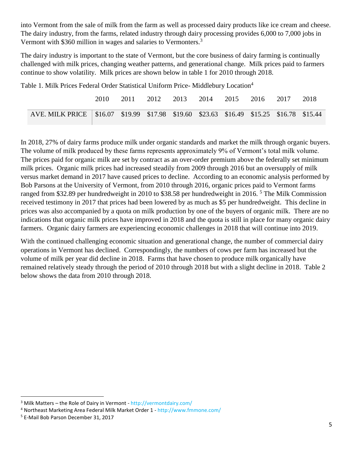into Vermont from the sale of milk from the farm as well as processed dairy products like ice cream and cheese. The dairy industry, from the farms, related industry through dairy processing provides 6,000 to 7,000 jobs in Vermont with \$360 million in wages and salaries to Vermonters.<sup>3</sup>

The dairy industry is important to the state of Vermont, but the core business of dairy farming is continually challenged with milk prices, changing weather patterns, and generational change. Milk prices paid to farmers continue to show volatility. Milk prices are shown below in table 1 for 2010 through 2018.

Table 1. Milk Prices Federal Order Statistical Uniform Price- Middlebury Location<sup>4</sup>

|                                                                                           | 2010 | 2011 | 2012 |  | 2013 2014 2015 2016 2017 |  | 2018 |
|-------------------------------------------------------------------------------------------|------|------|------|--|--------------------------|--|------|
| AVE. MILK PRICE   \$16.07 \$19.99 \$17.98 \$19.60 \$23.63 \$16.49 \$15.25 \$16.78 \$15.44 |      |      |      |  |                          |  |      |

In 2018, 27% of dairy farms produce milk under organic standards and market the milk through organic buyers. The volume of milk produced by these farms represents approximately 9% of Vermont's total milk volume. The prices paid for organic milk are set by contract as an over-order premium above the federally set minimum milk prices. Organic milk prices had increased steadily from 2009 through 2016 but an oversupply of milk versus market demand in 2017 have caused prices to decline. According to an economic analysis performed by Bob Parsons at the University of Vermont, from 2010 through 2016, organic prices paid to Vermont farms ranged from \$32.89 per hundredweight in 2010 to \$38.58 per hundredweight in 2016.<sup>5</sup> The Milk Commission received testimony in 2017 that prices had been lowered by as much as \$5 per hundredweight. This decline in prices was also accompanied by a quota on milk production by one of the buyers of organic milk. There are no indications that organic milk prices have improved in 2018 and the quota is still in place for many organic dairy farmers. Organic dairy farmers are experiencing economic challenges in 2018 that will continue into 2019.

With the continued challenging economic situation and generational change, the number of commercial dairy operations in Vermont has declined. Correspondingly, the numbers of cows per farm has increased but the volume of milk per year did decline in 2018. Farms that have chosen to produce milk organically have remained relatively steady through the period of 2010 through 2018 but with a slight decline in 2018. Table 2 below shows the data from 2010 through 2018.

l

<sup>&</sup>lt;sup>3</sup> Milk Matters – the Role of Dairy in Vermont - <http://vermontdairy.com/>

<sup>4</sup> Northeast Marketing Area Federal Milk Market Order 1 - <http://www.fmmone.com/>

<sup>5</sup> E-Mail Bob Parson December 31, 2017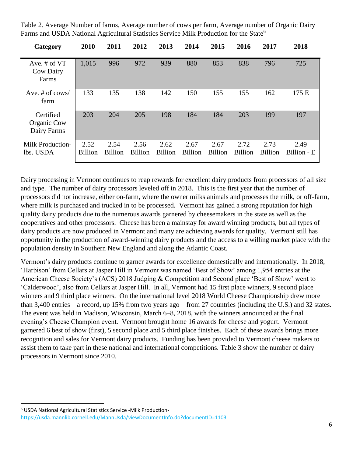Table 2. Average Number of farms, Average number of cows per farm, Average number of Organic Dairy Farms and USDA National Agricultural Statistics Service Milk Production for the State<sup>6</sup>

| Category                                | 2010                   | 2011                   | 2012                   | 2013                   | 2014                   | 2015                   | 2016                   | 2017                   | 2018                |
|-----------------------------------------|------------------------|------------------------|------------------------|------------------------|------------------------|------------------------|------------------------|------------------------|---------------------|
| Ave. # of VT<br>Cow Dairy<br>Farms      | 1,015                  | 996                    | 972                    | 939                    | 880                    | 853                    | 838                    | 796                    | 725                 |
| Ave. # of $\cos$<br>farm                | 133                    | 135                    | 138                    | 142                    | 150                    | 155                    | 155                    | 162                    | 175 E               |
| Certified<br>Organic Cow<br>Dairy Farms | 203                    | 204                    | 205                    | 198                    | 184                    | 184                    | 203                    | 199                    | 197                 |
| <b>Milk Production-</b><br>lbs. USDA    | 2.52<br><b>Billion</b> | 2.54<br><b>Billion</b> | 2.56<br><b>Billion</b> | 2.62<br><b>Billion</b> | 2.67<br><b>Billion</b> | 2.67<br><b>Billion</b> | 2.72<br><b>Billion</b> | 2.73<br><b>Billion</b> | 2.49<br>Billion - E |

Dairy processing in Vermont continues to reap rewards for excellent dairy products from processors of all size and type. The number of dairy processors leveled off in 2018. This is the first year that the number of processors did not increase, either on-farm, where the owner milks animals and processes the milk, or off-farm, where milk is purchased and trucked in to be processed. Vermont has gained a strong reputation for high quality dairy products due to the numerous awards garnered by cheesemakers in the state as well as the cooperatives and other processors. Cheese has been a mainstay for award winning products, but all types of dairy products are now produced in Vermont and many are achieving awards for quality. Vermont still has opportunity in the production of award-winning dairy products and the access to a willing market place with the population density in Southern New England and along the Atlantic Coast.

Vermont's dairy products continue to garner awards for excellence domestically and internationally. In 2018, 'Harbison' from Cellars at Jasper Hill in Vermont was named 'Best of Show' among 1,954 entries at the American Cheese Society's (ACS) 2018 Judging & Competition and Second place 'Best of Show' went to 'Calderwood', also from Cellars at Jasper Hill. In all, Vermont had 15 first place winners, 9 second place winners and 9 third place winners. On the international level 2018 World Cheese Championship drew more than 3,400 entries—a record, up 15% from two years ago—from 27 countries (including the U.S.) and 32 states. The event was held in Madison, Wisconsin, March 6–8, 2018, with the winners announced at the final evening's Cheese Champion event. Vermont brought home 16 awards for cheese and yogurt. Vermont garnered 6 best of show (first), 5 second place and 5 third place finishes. Each of these awards brings more recognition and sales for Vermont dairy products. Funding has been provided to Vermont cheese makers to assist them to take part in these national and international competitions. Table 3 show the number of dairy processors in Vermont since 2010.

 $\overline{\phantom{a}}$ 

<sup>6</sup> USDA National Agricultural Statistics Service -Milk Production<https://usda.mannlib.cornell.edu/MannUsda/viewDocumentInfo.do?documentID=1103>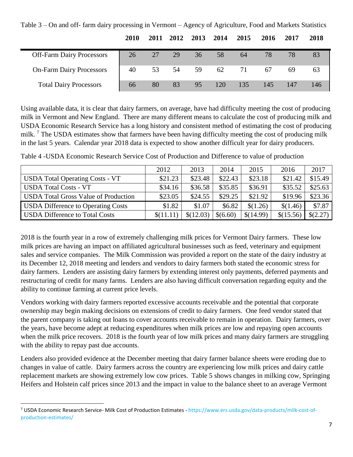|                                  | 2010 | 2011 | 2012  | 2013 | 2014 | 2015 | 2016 | 2017 | 2018 |
|----------------------------------|------|------|-------|------|------|------|------|------|------|
| <b>Off-Farm Dairy Processors</b> | 26   | 27   | 29    | 36   | 58   | 64   | 78   | 78   | 83   |
| <b>On-Farm Dairy Processors</b>  | 40   |      | 53 54 | 59   | 62   | 71   | 67   | 69   | 63   |
| <b>Total Dairy Processors</b>    | 66   | 80   | 83    | 95   | 120  | 135  | 145  | 147  | 146  |

Table 3 – On and off- farm dairy processing in Vermont – Agency of Agriculture, Food and Markets Statistics

Using available data, it is clear that dairy farmers, on average, have had difficulty meeting the cost of producing milk in Vermont and New England. There are many different means to calculate the cost of producing milk and USDA Economic Research Service has a long history and consistent method of estimating the cost of producing milk. <sup>7</sup> The USDA estimates show that farmers have been having difficulty meeting the cost of producing milk in the last 5 years. Calendar year 2018 data is expected to show another difficult year for dairy producers.

| Table 4 -USDA Economic Research Service Cost of Production and Difference to value of production |  |
|--------------------------------------------------------------------------------------------------|--|
|--------------------------------------------------------------------------------------------------|--|

|                                             | 2012     | 2013      | 2014     | 2015      | 2016      | 2017     |
|---------------------------------------------|----------|-----------|----------|-----------|-----------|----------|
| <b>USDA Total Operating Costs - VT</b>      | \$21.23  | \$23.48   | \$22.43  | \$23.18   | \$21.42   | \$15.49  |
| <b>USDA Total Costs - VT</b>                | \$34.16  | \$36.58   | \$35.85  | \$36.91   | \$35.52   | \$25.63  |
| <b>USDA Total Gross Value of Production</b> | \$23.05  | \$24.55   | \$29.25  | \$21.92   | \$19.96   | \$23.36  |
| <b>USDA Difference to Operating Costs</b>   | \$1.82   | \$1.07    | \$6.82   | \$(1.26)  | \$(1.46)  | \$7.87   |
| <b>USDA Difference to Total Costs</b>       | \$(11.11 | \$(12.03) | \$(6.60) | \$(14.99) | \$(15.56) | \$(2.27) |

2018 is the fourth year in a row of extremely challenging milk prices for Vermont Dairy farmers. These low milk prices are having an impact on affiliated agricultural businesses such as feed, veterinary and equipment sales and service companies. The Milk Commission was provided a report on the state of the dairy industry at its December 12, 2018 meeting and lenders and vendors to dairy farmers both stated the economic stress for dairy farmers. Lenders are assisting dairy farmers by extending interest only payments, deferred payments and restructuring of credit for many farms. Lenders are also having difficult conversation regarding equity and the ability to continue farming at current price levels.

Vendors working with dairy farmers reported excessive accounts receivable and the potential that corporate ownership may begin making decisions on extensions of credit to dairy farmers. One feed vendor stated that the parent company is taking out loans to cover accounts receivable to remain in operation. Dairy farmers, over the years, have become adept at reducing expenditures when milk prices are low and repaying open accounts when the milk price recovers. 2018 is the fourth year of low milk prices and many dairy farmers are struggling with the ability to repay past due accounts.

Lenders also provided evidence at the December meeting that dairy farmer balance sheets were eroding due to changes in value of cattle. Dairy farmers across the country are experiencing low milk prices and dairy cattle replacement markets are showing extremely low cow prices. Table 5 shows changes in milking cow, Springing Heifers and Holstein calf prices since 2013 and the impact in value to the balance sheet to an average Vermont

 $\overline{\phantom{a}}$ <sup>7</sup> USDA Economic Research Service- Milk Cost of Production Estimates - [https://www.ers.usda.gov/data-products/milk-cost-of](https://www.ers.usda.gov/data-products/milk-cost-of-production-estimates/)[production-estimates/](https://www.ers.usda.gov/data-products/milk-cost-of-production-estimates/)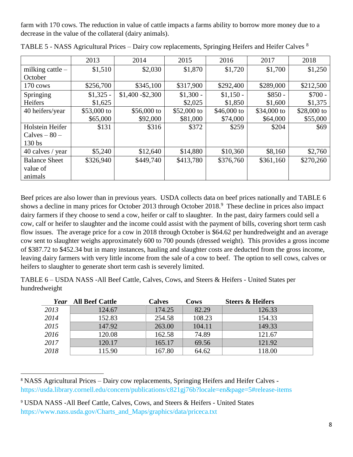farm with 170 cows. The reduction in value of cattle impacts a farms ability to borrow more money due to a decrease in the value of the collateral (dairy animals).

|                      | 2013        | 2014              | 2015        | 2016        | 2017        | 2018         |
|----------------------|-------------|-------------------|-------------|-------------|-------------|--------------|
| milking cattle $-$   | \$1,510     | \$2,030           | \$1,870     | \$1,720     | \$1,700     | \$1,250      |
| October              |             |                   |             |             |             |              |
| 170 cows             | \$256,700   | \$345,100         | \$317,900   | \$292,400   | \$289,000   | \$212,500    |
| Springing            | $$1,325$ -  | $$1,400 - $2,300$ | $$1,300 -$  | $$1,150-$   | $$850 -$    | $$700 -$     |
| Heifers              | \$1,625     |                   | \$2,025     | \$1,850     | \$1,600     | \$1,375      |
| 40 heifers/year      | \$53,000 to | $$56,000$ to      | \$52,000 to | \$46,000 to | \$34,000 to | $$28,000$ to |
|                      | \$65,000    | \$92,000          | \$81,000    | \$74,000    | \$64,000    | \$55,000     |
| Holstein Heifer      | \$131       | \$316             | \$372       | \$259       | \$204       | \$69         |
| $Calves - 80 -$      |             |                   |             |             |             |              |
| 130 <sub>bs</sub>    |             |                   |             |             |             |              |
| 40 calves / year     | \$5,240     | \$12,640          | \$14,880    | \$10,360    | \$8,160     | \$2,760      |
| <b>Balance Sheet</b> | \$326,940   | \$449,740         | \$413,780   | \$376,760   | \$361,160   | \$270,260    |
| value of             |             |                   |             |             |             |              |
| animals              |             |                   |             |             |             |              |

TABLE 5 - NASS Agricultural Prices – Dairy cow replacements, Springing Heifers and Heifer Calves <sup>8</sup>

Beef prices are also lower than in previous years. USDA collects data on beef prices nationally and TABLE 6 shows a decline in many prices for October 2013 through October 2018.<sup>9</sup> These decline in prices also impact dairy farmers if they choose to send a cow, heifer or calf to slaughter. In the past, dairy farmers could sell a cow, calf or heifer to slaughter and the income could assist with the payment of bills, covering short term cash flow issues. The average price for a cow in 2018 through October is \$64.62 per hundredweight and an average cow sent to slaughter weighs approximately 600 to 700 pounds (dressed weight). This provides a gross income of \$387.72 to \$452.34 but in many instances, hauling and slaughter costs are deducted from the gross income, leaving dairy farmers with very little income from the sale of a cow to beef. The option to sell cows, calves or heifers to slaughter to generate short term cash is severely limited.

TABLE 6 – USDA NASS -All Beef Cattle, Calves, Cows, and Steers & Heifers - United States per hundredweight

| Year | <b>All Beef Cattle</b> | <b>Calves</b> | Cows   | <b>Steers &amp; Heifers</b> |
|------|------------------------|---------------|--------|-----------------------------|
| 2013 | 124.67                 | 174.25        | 82.29  | 126.33                      |
| 2014 | 152.83                 | 254.58        | 108.23 | 154.33                      |
| 2015 | 147.92                 | 263.00        | 104.11 | 149.33                      |
| 2016 | 120.08                 | 162.58        | 74.89  | 121.67                      |
| 2017 | 120.17                 | 165.17        | 69.56  | 121.92                      |
| 2018 | 115.90                 | 167.80        | 64.62  | 118.00                      |

<sup>&</sup>lt;sup>8</sup> NASS Agricultural Prices - Dairy cow replacements, Springing Heifers and Heifer Calves <https://usda.library.cornell.edu/concern/publications/c821gj76b?locale=en&page=5#release-items>

 $\overline{\phantom{a}}$ 

<sup>9</sup> USDA NASS -All Beef Cattle, Calves, Cows, and Steers & Heifers - United States [https://www.nass.usda.gov/Charts\\_and\\_Maps/graphics/data/priceca.txt](https://www.nass.usda.gov/Charts_and_Maps/graphics/data/priceca.txt)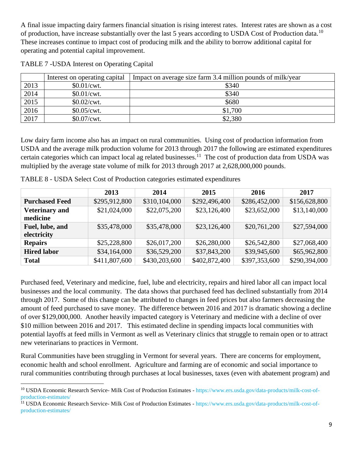A final issue impacting dairy farmers financial situation is rising interest rates. Interest rates are shown as a cost of production, have increase substantially over the last 5 years according to USDA Cost of Production data.<sup>10</sup> These increases continue to impact cost of producing milk and the ability to borrow additional capital for operating and potential capital improvement.

|      | Interest on operating capital | Impact on average size farm 3.4 million pounds of milk/year |
|------|-------------------------------|-------------------------------------------------------------|
| 2013 | \$0.01/cwt.                   | \$340                                                       |
| 2014 | \$0.01/cwt.                   | \$340                                                       |
| 2015 | \$0.02/cwt.                   | \$680                                                       |
| 2016 | \$0.05/cwt.                   | \$1,700                                                     |
| 2017 | \$0.07/cwt.                   | \$2,380                                                     |

| TABLE 7 - USDA Interest on Operating Capital |  |  |  |
|----------------------------------------------|--|--|--|
|                                              |  |  |  |

 $\overline{\phantom{a}}$ 

Low dairy farm income also has an impact on rural communities. Using cost of production information from USDA and the average milk production volume for 2013 through 2017 the following are estimated expenditures certain categories which can impact local ag related businesses.<sup>11</sup> The cost of production data from USDA was multiplied by the average state volume of milk for 2013 through 2017 at 2,628,000,000 pounds.

|                       | 2013          | 2014          | 2015          | 2016          | 2017          |
|-----------------------|---------------|---------------|---------------|---------------|---------------|
| <b>Purchased Feed</b> | \$295,912,800 | \$310,104,000 | \$292,496,400 | \$286,452,000 | \$156,628,800 |
| <b>Veterinary and</b> | \$21,024,000  | \$22,075,200  | \$23,126,400  | \$23,652,000  | \$13,140,000  |
| medicine              |               |               |               |               |               |
| Fuel, lube, and       | \$35,478,000  | \$35,478,000  | \$23,126,400  | \$20,761,200  | \$27,594,000  |
| electricity           |               |               |               |               |               |
| <b>Repairs</b>        | \$25,228,800  | \$26,017,200  | \$26,280,000  | \$26,542,800  | \$27,068,400  |
| <b>Hired labor</b>    | \$34,164,000  | \$36,529,200  | \$37,843,200  | \$39,945,600  | \$65,962,800  |
| <b>Total</b>          | \$411,807,600 | \$430,203,600 | \$402,872,400 | \$397,353,600 | \$290,394,000 |

TABLE 8 - USDA Select Cost of Production categories estimated expenditures

Purchased feed, Veterinary and medicine, fuel, lube and electricity, repairs and hired labor all can impact local businesses and the local community. The data shows that purchased feed has declined substantially from 2014 through 2017. Some of this change can be attributed to changes in feed prices but also farmers decreasing the amount of feed purchased to save money. The difference between 2016 and 2017 is dramatic showing a decline of over \$129,000,000. Another heavily impacted category is Veterinary and medicine with a decline of over \$10 million between 2016 and 2017. This estimated decline in spending impacts local communities with potential layoffs at feed mills in Vermont as well as Veterinary clinics that struggle to remain open or to attract new veterinarians to practices in Vermont.

Rural Communities have been struggling in Vermont for several years. There are concerns for employment, economic health and school enrollment. Agriculture and farming are of economic and social importance to rural communities contributing through purchases at local businesses, taxes (even with abatement program) and

<sup>&</sup>lt;sup>10</sup> USDA Economic Research Service- Milk Cost of Production Estimates - [https://www.ers.usda.gov/data-products/milk-cost-of](https://www.ers.usda.gov/data-products/milk-cost-of-production-estimates/)[production-estimates/](https://www.ers.usda.gov/data-products/milk-cost-of-production-estimates/)

<sup>11</sup> USDA Economic Research Service- Milk Cost of Production Estimates - [https://www.ers.usda.gov/data-products/milk-cost-of](https://www.ers.usda.gov/data-products/milk-cost-of-production-estimates/)[production-estimates/](https://www.ers.usda.gov/data-products/milk-cost-of-production-estimates/)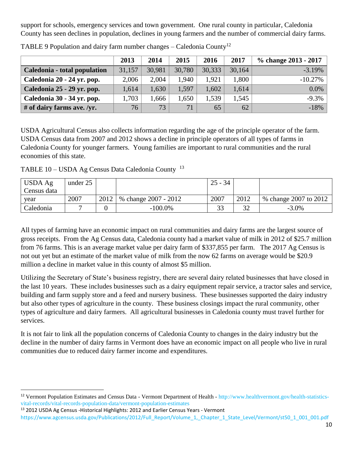support for schools, emergency services and town government. One rural county in particular, Caledonia County has seen declines in population, declines in young farmers and the number of commercial dairy farms.

|                              | 2013   | 2014   | 2015   | 2016   | 2017   | % change 2013 - 2017 |
|------------------------------|--------|--------|--------|--------|--------|----------------------|
| Caledonia - total population | 31,157 | 30,981 | 30,780 | 30,333 | 30,164 | $-3.19%$             |
| Caledonia 20 - 24 yr. pop.   | 2,006  | 2,004  | 1,940  | 1,921  | 1,800  | $-10.27%$            |
| Caledonia 25 - 29 yr. pop.   | 1,614  | 1,630  | 1,597  | 1,602  | 1,614  | $0.0\%$              |
| Caledonia 30 - 34 yr. pop.   | 1,703  | 1,666  | 1,650  | .539   | 1,545  | $-9.3%$              |
| # of dairy farms ave. /yr.   | 76     | 73     | 71     | 65     | 62     | $-18%$               |

TABLE 9 Population and dairy farm number changes – Caledonia County<sup>12</sup>

USDA Agricultural Census also collects information regarding the age of the principle operator of the farm. USDA Census data from 2007 and 2012 shows a decline in principle operators of all types of farms in Caledonia County for younger farmers. Young families are important to rural communities and the rural economies of this state.

TABLE 10 – USDA Ag Census Data Caledonia County <sup>13</sup>

| USDA Ag     | under 25 |      |                      | $25 - 34$ |                |                       |
|-------------|----------|------|----------------------|-----------|----------------|-----------------------|
| Census data |          |      |                      |           |                |                       |
| year        | 2007     | 2012 | % change 2007 - 2012 | 2007      | 2012           | % change 2007 to 2012 |
| Caledonia   |          |      | $-100.0\%$           |           | $\mathfrak{D}$ | $-3.0\%$              |

All types of farming have an economic impact on rural communities and dairy farms are the largest source of gross receipts. From the Ag Census data, Caledonia county had a market value of milk in 2012 of \$25.7 million from 76 farms. This is an average market value per dairy farm of \$337,855 per farm. The 2017 Ag Census is not out yet but an estimate of the market value of milk from the now 62 farms on average would be \$20.9 million a decline in market value in this county of almost \$5 million.

Utilizing the Secretary of State's business registry, there are several dairy related businesses that have closed in the last 10 years. These includes businesses such as a dairy equipment repair service, a tractor sales and service, building and farm supply store and a feed and nursery business. These businesses supported the dairy industry but also other types of agriculture in the county. These business closings impact the rural community, other types of agriculture and dairy farmers. All agricultural businesses in Caledonia county must travel further for services.

It is not fair to link all the population concerns of Caledonia County to changes in the dairy industry but the decline in the number of dairy farms in Vermont does have an economic impact on all people who live in rural communities due to reduced dairy farmer income and expenditures.

<sup>13</sup> 2012 USDA Ag Census -Historical Highlights: 2012 and Earlier Census Years - Vermont

 $\overline{\phantom{a}}$ 

<sup>&</sup>lt;sup>12</sup> Vermont Population Estimates and Census Data - Vermont Department of Health - [http://www.healthvermont.gov/health-statistics](http://www.healthvermont.gov/health-statistics-vital-records/vital-records-population-data/vermont-population-estimates)[vital-records/vital-records-population-data/vermont-population-estimates](http://www.healthvermont.gov/health-statistics-vital-records/vital-records-population-data/vermont-population-estimates)

https://www.agcensus.usda.gov/Publications/2012/Full\_Report/Volume\_1,\_Chapter\_1\_State\_Level/Vermont/st50\_1\_001\_001.pdf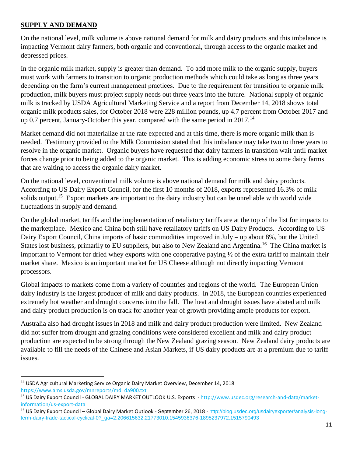## **SUPPLY AND DEMAND**

 $\overline{\phantom{a}}$ 

On the national level, milk volume is above national demand for milk and dairy products and this imbalance is impacting Vermont dairy farmers, both organic and conventional, through access to the organic market and depressed prices.

In the organic milk market, supply is greater than demand. To add more milk to the organic supply, buyers must work with farmers to transition to organic production methods which could take as long as three years depending on the farm's current management practices. Due to the requirement for transition to organic milk production, milk buyers must project supply needs out three years into the future. National supply of organic milk is tracked by USDA Agricultural Marketing Service and a report from December 14, 2018 shows total organic milk products sales, for October 2018 were 228 million pounds, up 4.7 percent from October 2017 and up 0.7 percent, January-October this year, compared with the same period in  $2017<sup>14</sup>$ 

Market demand did not materialize at the rate expected and at this time, there is more organic milk than is needed. Testimony provided to the Milk Commission stated that this imbalance may take two to three years to resolve in the organic market. Organic buyers have requested that dairy farmers in transition wait until market forces change prior to being added to the organic market. This is adding economic stress to some dairy farms that are waiting to access the organic dairy market.

On the national level, conventional milk volume is above national demand for milk and dairy products. According to US Dairy Export Council, for the first 10 months of 2018, exports represented 16.3% of milk solids output.<sup>15</sup> Export markets are important to the dairy industry but can be unreliable with world wide fluctuations in supply and demand.

On the global market, tariffs and the implementation of retaliatory tariffs are at the top of the list for impacts to the marketplace. Mexico and China both still have retaliatory tariffs on US Dairy Products. According to US Dairy Export Council, China imports of basic commodities improved in July – up about 8%, but the United States lost business, primarily to EU suppliers, but also to New Zealand and Argentina.<sup>16</sup> The China market is important to Vermont for dried whey exports with one cooperative paying ½ of the extra tariff to maintain their market share. Mexico is an important market for US Cheese although not directly impacting Vermont processors.

Global impacts to markets come from a variety of countries and regions of the world. The European Union dairy industry is the largest producer of milk and dairy products. In 2018, the European countries experienced extremely hot weather and drought concerns into the fall. The heat and drought issues have abated and milk and dairy product production is on track for another year of growth providing ample products for export.

Australia also had drought issues in 2018 and milk and dairy product production were limited. New Zealand did not suffer from drought and grazing conditions were considered excellent and milk and dairy product production are expected to be strong through the New Zealand grazing season. New Zealand dairy products are available to fill the needs of the Chinese and Asian Markets, if US dairy products are at a premium due to tariff issues.

<sup>&</sup>lt;sup>14</sup> USDA Agricultural Marketing Service Organic Dairy Market Overview, December 14, 2018 [https://www.ams.usda.gov/mnreports/md\\_da900.txt](https://www.ams.usda.gov/mnreports/md_da900.txt)

<sup>&</sup>lt;sup>15</sup> US Dairy Export Council - GLOBAL DAIRY MARKET OUTLOOK U.S. Exports - [http://www.usdec.org/research-and-data/market](http://www.usdec.org/research-and-data/market-information/us-export-data)[information/us-export-data](http://www.usdec.org/research-and-data/market-information/us-export-data)

<sup>16</sup> US Dairy Export Council – Global Dairy Market Outlook - September 26, 2018 - [http://blog.usdec.org/usdairyexporter/analysis-long](http://blog.usdec.org/usdairyexporter/analysis-long-term-dairy-trade-tactical-cyclical-0?_ga=2.206615632.21773010.1545936376-1895237972.1515790493)[term-dairy-trade-tactical-cyclical-0?\\_ga=2.206615632.21773010.1545936376-1895237972.1515790493](http://blog.usdec.org/usdairyexporter/analysis-long-term-dairy-trade-tactical-cyclical-0?_ga=2.206615632.21773010.1545936376-1895237972.1515790493)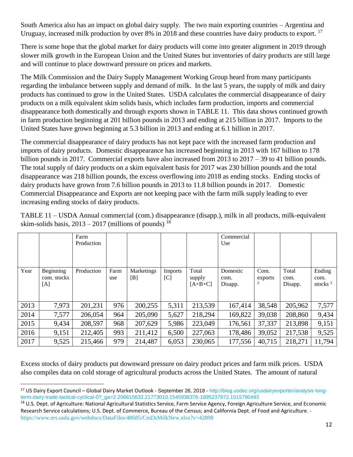South America also has an impact on global dairy supply. The two main exporting countries – Argentina and Uruguay, increased milk production by over 8% in 2018 and these countries have dairy products to export. <sup>17</sup>

There is some hope that the global market for dairy products will come into greater alignment in 2019 through slower milk growth in the European Union and the United States but inventories of dairy products are still large and will continue to place downward pressure on prices and markets.

The Milk Commission and the Dairy Supply Management Working Group heard from many participants regarding the imbalance between supply and demand of milk. In the last 5 years, the supply of milk and dairy products has continued to grow in the United States. USDA calculates the commercial disappearance of dairy products on a milk equivalent skim solids basis, which includes farm production, imports and commercial disappearance both domestically and through exports shown in TABLE 11. This data shows continued growth in farm production beginning at 201 billion pounds in 2013 and ending at 215 billion in 2017. Imports to the United States have grown beginning at 5.3 billion in 2013 and ending at 6.1 billion in 2017.

The commercial disappearance of dairy products has not kept pace with the increased farm production and imports of dairy products. Domestic disappearance has increased beginning in 2013 with 167 billion to 178 billion pounds in 2017. Commercial exports have also increased from 2013 to 2017 – 39 to 41 billion pounds. The total supply of dairy products on a skim equivalent basis for 2017 was 230 billion pounds and the total disappearance was 218 billion pounds, the excess overflowing into 2018 as ending stocks. Ending stocks of dairy products have grown from 7.6 billion pounds in 2013 to 11.8 billion pounds in 2017. Domestic Commercial Disappearance and Exports are not keeping pace with the farm milk supply leading to ever increasing ending stocks of dairy products.

|      |                                 | Farm<br>Production |             |                          |                |                              | Commercial<br>Use           |                 |                          |                              |
|------|---------------------------------|--------------------|-------------|--------------------------|----------------|------------------------------|-----------------------------|-----------------|--------------------------|------------------------------|
| Year | Beginning<br>com. stocks<br>[A] | Production         | Farm<br>use | <b>Marketings</b><br>[B] | Imports<br>[C] | Total<br>supply<br>$[A+B+C]$ | Domestic<br>com.<br>Disapp. | Com.<br>exports | Total<br>com.<br>Disapp. | Ending<br>com.<br>stocks $3$ |
| 2013 | 7,973                           | 201,231            | 976         | 200,255                  | 5,311          | 213,539                      | 167,414                     | 38,548          | 205,962                  | 7,577                        |
| 2014 | 7,577                           | 206,054            | 964         | 205,090                  | 5,627          | 218,294                      | 169,822                     | 39,038          | 208,860                  | 9,434                        |
| 2015 | 9,434                           | 208,597            | 968         | 207,629                  | 5,986          | 223,049                      | 176,561                     | 37,337          | 213,898                  | 9,151                        |
| 2016 | 9,151                           | 212,405            | 993         | 211,412                  | 6,500          | 227,063                      | 178,486                     | 39,052          | 217,538                  | 9,525                        |
| 2017 | 9,525                           | 215,466            | 979         | 214,487                  | 6,053          | 230,065                      | 177,556                     | 40,715          | 218,271                  | 11,794                       |

TABLE 11 – USDA Annual commercial (com.) disappearance (disapp.), milk in all products, milk-equivalent skim-solids basis,  $2013 - 2017$  (millions of pounds)  $^{18}$ 

Excess stocks of dairy products put downward pressure on dairy product prices and farm milk prices. USDA also compiles data on cold storage of agricultural products across the United States. The amount of natural

 $\overline{a}$ 

<sup>17</sup> US Dairy Export Council – Global Dairy Market Outlook - September 26, 2018 - [http://blog.usdec.org/usdairyexporter/analysis-long](http://blog.usdec.org/usdairyexporter/analysis-long-term-dairy-trade-tactical-cyclical-0?_ga=2.206615632.21773010.1545936376-1895237972.1515790493)[term-dairy-trade-tactical-cyclical-0?\\_ga=2.206615632.21773010.1545936376-1895237972.1515790493](http://blog.usdec.org/usdairyexporter/analysis-long-term-dairy-trade-tactical-cyclical-0?_ga=2.206615632.21773010.1545936376-1895237972.1515790493)

<sup>&</sup>lt;sup>18</sup> U.S. Dept. of Agriculture: National Agricultural Statistics Service, Farm Service Agency, Foreign Agriculture Service, and Economic Research Service calculations; U.S. Dept. of Commerce, Bureau of the Census; and California Dept. of Food and Agriculture. <https://www.ers.usda.gov/webdocs/DataFiles/48685/CmDsMilkNew.xlsx?v=42898>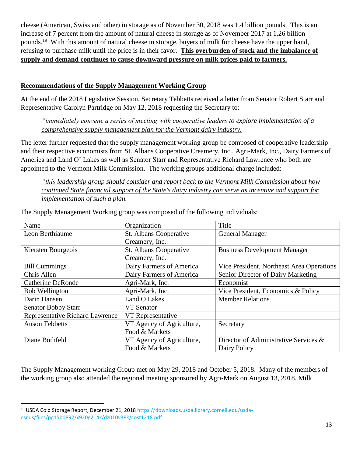cheese (American, Swiss and other) in storage as of November 30, 2018 was 1.4 billion pounds. This is an increase of 7 percent from the amount of natural cheese in storage as of November 2017 at 1.26 billion pounds.<sup>19</sup> With this amount of natural cheese in storage, buyers of milk for cheese have the upper hand, refusing to purchase milk until the price is in their favor. **This overburden of stock and the imbalance of supply and demand continues to cause downward pressure on milk prices paid to farmers.**

## **Recommendations of the Supply Management Working Group**

At the end of the 2018 Legislative Session, Secretary Tebbetts received a letter from Senator Robert Starr and Representative Carolyn Partridge on May 12, 2018 requesting the Secretary to:

*"immediately convene a series of meeting with cooperative leaders to explore implementation of a comprehensive supply management plan for the Vermont dairy industry.*

The letter further requested that the supply management working group be composed of cooperative leadership and their respective economists from St. Albans Cooperative Creamery, Inc., Agri-Mark, Inc., Dairy Farmers of America and Land O' Lakes as well as Senator Starr and Representative Richard Lawrence who both are appointed to the Vermont Milk Commission. The working groups additional charge included:

*"this leadership group should consider and report back to the Vermont Milk Commission about how continued State financial support of the State's dairy industry can serve as incentive and support for implementation of such a plan.*

| Name                                   | Organization              | Title                                     |  |
|----------------------------------------|---------------------------|-------------------------------------------|--|
| Leon Berthiaume                        | St. Albans Cooperative    | <b>General Manager</b>                    |  |
|                                        | Creamery, Inc.            |                                           |  |
| Kiersten Bourgeois                     | St. Albans Cooperative    | <b>Business Development Manager</b>       |  |
|                                        | Creamery, Inc.            |                                           |  |
| <b>Bill Cummings</b>                   | Dairy Farmers of America  | Vice President, Northeast Area Operations |  |
| Chris Allen                            | Dairy Farmers of America  | Senior Director of Dairy Marketing        |  |
| <b>Catherine DeRonde</b>               | Agri-Mark, Inc.           | Economist                                 |  |
| <b>Bob Wellington</b>                  | Agri-Mark, Inc.           | Vice President, Economics & Policy        |  |
| Darin Hansen                           | Land O Lakes              | <b>Member Relations</b>                   |  |
| <b>Senator Bobby Starr</b>             | VT Senator                |                                           |  |
| <b>Representative Richard Lawrence</b> | VT Representative         |                                           |  |
| <b>Anson Tebbetts</b>                  | VT Agency of Agriculture, | Secretary                                 |  |
|                                        | Food & Markets            |                                           |  |
| Diane Bothfeld                         | VT Agency of Agriculture, | Director of Administrative Services &     |  |
|                                        | Food & Markets            | Dairy Policy                              |  |

The Supply Management Working group was composed of the following individuals:

The Supply Management working Group met on May 29, 2018 and October 5, 2018. Many of the members of the working group also attended the regional meeting sponsored by Agri-Mark on August 13, 2018. Milk

 $\overline{\phantom{a}}$ <sup>19</sup> USDA Cold Storage Report, December 21, 2018 [https://downloads.usda.library.cornell.edu/usda](https://downloads.usda.library.cornell.edu/usda-esmis/files/pg15bd892/x920g214x/dz010v38k/cost1218.pdf)[esmis/files/pg15bd892/x920g214x/dz010v38k/cost1218.pdf](https://downloads.usda.library.cornell.edu/usda-esmis/files/pg15bd892/x920g214x/dz010v38k/cost1218.pdf)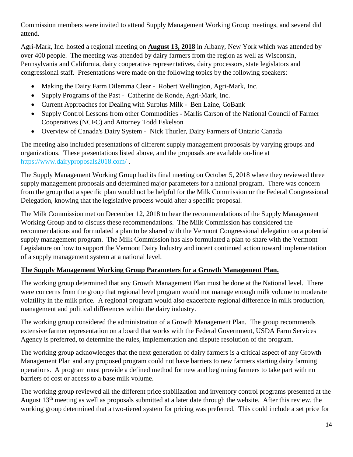Commission members were invited to attend Supply Management Working Group meetings, and several did attend.

Agri-Mark, Inc. hosted a regional meeting on **August 13, 2018** in Albany, New York which was attended by over 400 people. The meeting was attended by dairy farmers from the region as well as Wisconsin, Pennsylvania and California, dairy cooperative representatives, dairy processors, state legislators and congressional staff. Presentations were made on the following topics by the following speakers:

- Making the Dairy Farm Dilemma Clear Robert Wellington, Agri-Mark, Inc.
- Supply Programs of the Past Catherine de Ronde, Agri-Mark, Inc.
- Current Approaches for Dealing with Surplus Milk Ben Laine, CoBank
- Supply Control Lessons from other Commodities Marlis Carson of the National Council of Farmer Cooperatives (NCFC) and Attorney Todd Eskelson
- Overview of Canada's Dairy System Nick Thurler, Dairy Farmers of Ontario Canada

The meeting also included presentations of different supply management proposals by varying groups and organizations. These presentations listed above, and the proposals are available on-line at <https://www.dairyproposals2018.com/> .

The Supply Management Working Group had its final meeting on October 5, 2018 where they reviewed three supply management proposals and determined major parameters for a national program. There was concern from the group that a specific plan would not be helpful for the Milk Commission or the Federal Congressional Delegation, knowing that the legislative process would alter a specific proposal.

The Milk Commission met on December 12, 2018 to hear the recommendations of the Supply Management Working Group and to discuss these recommendations. The Milk Commission has considered the recommendations and formulated a plan to be shared with the Vermont Congressional delegation on a potential supply management program. The Milk Commission has also formulated a plan to share with the Vermont Legislature on how to support the Vermont Dairy Industry and incent continued action toward implementation of a supply management system at a national level.

## **The Supply Management Working Group Parameters for a Growth Management Plan.**

The working group determined that any Growth Management Plan must be done at the National level. There were concerns from the group that regional level program would not manage enough milk volume to moderate volatility in the milk price. A regional program would also exacerbate regional difference in milk production, management and political differences within the dairy industry.

The working group considered the administration of a Growth Management Plan. The group recommends extensive farmer representation on a board that works with the Federal Government, USDA Farm Services Agency is preferred, to determine the rules, implementation and dispute resolution of the program.

The working group acknowledges that the next generation of dairy farmers is a critical aspect of any Growth Management Plan and any proposed program could not have barriers to new farmers starting dairy farming operations. A program must provide a defined method for new and beginning farmers to take part with no barriers of cost or access to a base milk volume.

The working group reviewed all the different price stabilization and inventory control programs presented at the August 13<sup>th</sup> meeting as well as proposals submitted at a later date through the website. After this review, the working group determined that a two-tiered system for pricing was preferred. This could include a set price for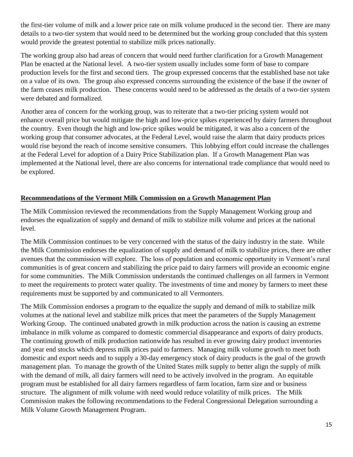the first-tier volume of milk and a lower price rate on milk volume produced in the second tier. There are many details to a two-tier system that would need to be determined but the working group concluded that this system would provide the greatest potential to stabilize milk prices nationally.

The working group also had areas of concern that would need further clarification for a Growth Management Plan be enacted at the National level. A two-tier system usually includes some form of base to compare production levels for the first and second tiers. The group expressed concerns that the established base not take on a value of its own. The group also expressed concerns surrounding the existence of the base if the owner of the farm ceases milk production. These concerns would need to be addressed as the details of a two-tier system were debated and formalized.

Another area of concern for the working group, was to reiterate that a two-tier pricing system would not enhance overall price but would mitigate the high and low-price spikes experienced by dairy farmers throughout the country. Even though the high and low-price spikes would be mitigated, it was also a concern of the working group that consumer advocates, at the Federal Level, would raise the alarm that dairy products prices would rise beyond the reach of income sensitive consumers. This lobbying effort could increase the challenges at the Federal Level for adoption of a Dairy Price Stabilization plan. If a Growth Management Plan was implemented at the National level, there are also concerns for international trade compliance that would need to be explored.

## **Recommendations of the Vermont Milk Commission on a Growth Management Plan**

The Milk Commission reviewed the recommendations from the Supply Management Working group and endorses the equalization of supply and demand of milk to stabilize milk volume and prices at the national level.

The Milk Commission continues to be very concerned with the status of the dairy industry in the state. While the Milk Commission endorses the equalization of supply and demand of milk to stabilize prices, there are other avenues that the commission will explore. The loss of population and economic opportunity in Vermont's rural communities is of great concern and stabilizing the price paid to dairy farmers will provide an economic engine for some communities. The Milk Commission understands the continued challenges on all farmers in Vermont to meet the requirements to protect water quality. The investments of time and money by farmers to meet these requirements must be supported by and communicated to all Vermonters.

The Milk Commission endorses a program to the equalize the supply and demand of milk to stabilize milk volumes at the national level and stabilize milk prices that meet the parameters of the Supply Management Working Group. The continued unabated growth in milk production across the nation is causing an extreme imbalance in milk volume as compared to domestic commercial disappearance and exports of dairy products. The continuing growth of milk production nationwide has resulted in ever growing dairy product inventories and year end stocks which depress milk prices paid to farmers. Managing milk volume growth to meet both domestic and export needs and to supply a 30-day emergency stock of dairy products is the goal of the growth management plan. To manage the growth of the United States milk supply to better align the supply of milk with the demand of milk, all dairy farmers will need to be actively involved in the program. An equitable program must be established for all dairy farmers regardless of farm location, farm size and or business structure. The alignment of milk volume with need would reduce volatility of milk prices. The Milk Commission makes the following recommendations to the Federal Congressional Delegation surrounding a Milk Volume Growth Management Program.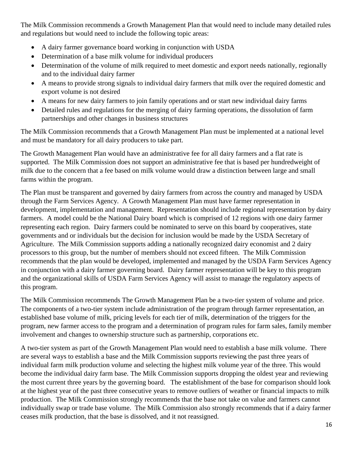The Milk Commission recommends a Growth Management Plan that would need to include many detailed rules and regulations but would need to include the following topic areas:

- A dairy farmer governance board working in conjunction with USDA
- Determination of a base milk volume for individual producers
- Determination of the volume of milk required to meet domestic and export needs nationally, regionally and to the individual dairy farmer
- A means to provide strong signals to individual dairy farmers that milk over the required domestic and export volume is not desired
- A means for new dairy farmers to join family operations and or start new individual dairy farms
- Detailed rules and regulations for the merging of dairy farming operations, the dissolution of farm partnerships and other changes in business structures

The Milk Commission recommends that a Growth Management Plan must be implemented at a national level and must be mandatory for all dairy producers to take part.

The Growth Management Plan would have an administrative fee for all dairy farmers and a flat rate is supported. The Milk Commission does not support an administrative fee that is based per hundredweight of milk due to the concern that a fee based on milk volume would draw a distinction between large and small farms within the program.

The Plan must be transparent and governed by dairy farmers from across the country and managed by USDA through the Farm Services Agency. A Growth Management Plan must have farmer representation in development, implementation and management. Representation should include regional representation by dairy farmers. A model could be the National Dairy board which is comprised of 12 regions with one dairy farmer representing each region. Dairy farmers could be nominated to serve on this board by cooperatives, state governments and or individuals but the decision for inclusion would be made by the USDA Secretary of Agriculture. The Milk Commission supports adding a nationally recognized dairy economist and 2 dairy processors to this group, but the number of members should not exceed fifteen. The Milk Commission recommends that the plan would be developed, implemented and managed by the USDA Farm Services Agency in conjunction with a dairy farmer governing board. Dairy farmer representation will be key to this program and the organizational skills of USDA Farm Services Agency will assist to manage the regulatory aspects of this program.

The Milk Commission recommends The Growth Management Plan be a two-tier system of volume and price. The components of a two-tier system include administration of the program through farmer representation, an established base volume of milk, pricing levels for each tier of milk, determination of the triggers for the program, new farmer access to the program and a determination of program rules for farm sales, family member involvement and changes to ownership structure such as partnership, corporations etc.

A two-tier system as part of the Growth Management Plan would need to establish a base milk volume. There are several ways to establish a base and the Milk Commission supports reviewing the past three years of individual farm milk production volume and selecting the highest milk volume year of the three. This would become the individual dairy farm base. The Milk Commission supports dropping the oldest year and reviewing the most current three years by the governing board. The establishment of the base for comparison should look at the highest year of the past three consecutive years to remove outliers of weather or financial impacts to milk production. The Milk Commission strongly recommends that the base not take on value and farmers cannot individually swap or trade base volume. The Milk Commission also strongly recommends that if a dairy farmer ceases milk production, that the base is dissolved, and it not reassigned.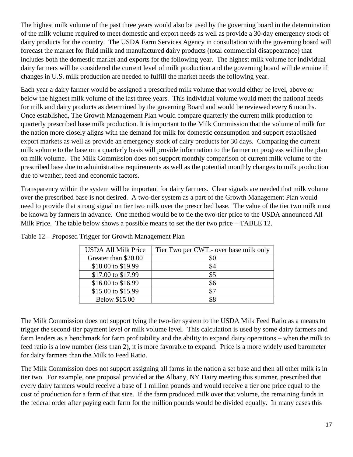The highest milk volume of the past three years would also be used by the governing board in the determination of the milk volume required to meet domestic and export needs as well as provide a 30-day emergency stock of dairy products for the country. The USDA Farm Services Agency in consultation with the governing board will forecast the market for fluid milk and manufactured dairy products (total commercial disappearance) that includes both the domestic market and exports for the following year. The highest milk volume for individual dairy farmers will be considered the current level of milk production and the governing board will determine if changes in U.S. milk production are needed to fulfill the market needs the following year.

Each year a dairy farmer would be assigned a prescribed milk volume that would either be level, above or below the highest milk volume of the last three years. This individual volume would meet the national needs for milk and dairy products as determined by the governing Board and would be reviewed every 6 months. Once established, The Growth Management Plan would compare quarterly the current milk production to quarterly prescribed base milk production. It is important to the Milk Commission that the volume of milk for the nation more closely aligns with the demand for milk for domestic consumption and support established export markets as well as provide an emergency stock of dairy products for 30 days. Comparing the current milk volume to the base on a quarterly basis will provide information to the farmer on progress within the plan on milk volume. The Milk Commission does not support monthly comparison of current milk volume to the prescribed base due to administrative requirements as well as the potential monthly changes to milk production due to weather, feed and economic factors.

Transparency within the system will be important for dairy farmers. Clear signals are needed that milk volume over the prescribed base is not desired. A two-tier system as a part of the Growth Management Plan would need to provide that strong signal on tier two milk over the prescribed base. The value of the tier two milk must be known by farmers in advance. One method would be to tie the two-tier price to the USDA announced All Milk Price. The table below shows a possible means to set the tier two price – TABLE 12.

| <b>USDA All Milk Price</b> | Tier Two per CWT.- over base milk only |
|----------------------------|----------------------------------------|
| Greater than \$20.00       |                                        |
| \$18.00 to \$19.99         |                                        |
| \$17.00 to \$17.99         | \$5                                    |
| \$16.00 to \$16.99         | \$6                                    |
| \$15.00 to \$15.99         | \$7                                    |
| <b>Below \$15.00</b>       |                                        |

Table 12 – Proposed Trigger for Growth Management Plan

The Milk Commission does not support tying the two-tier system to the USDA Milk Feed Ratio as a means to trigger the second-tier payment level or milk volume level. This calculation is used by some dairy farmers and farm lenders as a benchmark for farm profitability and the ability to expand dairy operations – when the milk to feed ratio is a low number (less than 2), it is more favorable to expand. Price is a more widely used barometer for dairy farmers than the Milk to Feed Ratio.

The Milk Commission does not support assigning all farms in the nation a set base and then all other milk is in tier two. For example, one proposal provided at the Albany, NY Dairy meeting this summer, prescribed that every dairy farmers would receive a base of 1 million pounds and would receive a tier one price equal to the cost of production for a farm of that size. If the farm produced milk over that volume, the remaining funds in the federal order after paying each farm for the million pounds would be divided equally. In many cases this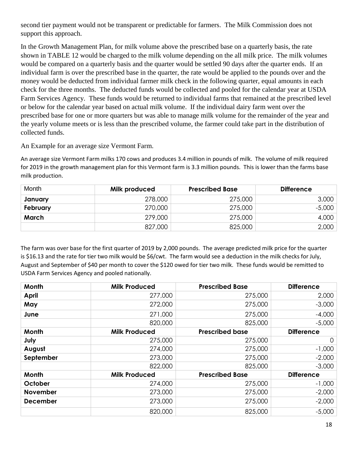second tier payment would not be transparent or predictable for farmers. The Milk Commission does not support this approach.

In the Growth Management Plan, for milk volume above the prescribed base on a quarterly basis, the rate shown in TABLE 12 would be charged to the milk volume depending on the all milk price. The milk volumes would be compared on a quarterly basis and the quarter would be settled 90 days after the quarter ends. If an individual farm is over the prescribed base in the quarter, the rate would be applied to the pounds over and the money would be deducted from individual farmer milk check in the following quarter, equal amounts in each check for the three months. The deducted funds would be collected and pooled for the calendar year at USDA Farm Services Agency. These funds would be returned to individual farms that remained at the prescribed level or below for the calendar year based on actual milk volume. If the individual dairy farm went over the prescribed base for one or more quarters but was able to manage milk volume for the remainder of the year and the yearly volume meets or is less than the prescribed volume, the farmer could take part in the distribution of collected funds.

An Example for an average size Vermont Farm.

An average size Vermont Farm milks 170 cows and produces 3.4 million in pounds of milk. The volume of milk required for 2019 in the growth management plan for this Vermont farm is 3.3 million pounds. This is lower than the farms base milk production.

| Month    | Milk produced | <b>Prescribed Base</b> | <b>Difference</b> |
|----------|---------------|------------------------|-------------------|
| January  | 278,000       | 275,000                | 3,000             |
| February | 270,000       | 275,000                | $-5,000$          |
| March    | 279,000       | 275,000                | 4,000             |
|          | 827,000       | 825,000                | 2,000             |

The farm was over base for the first quarter of 2019 by 2,000 pounds. The average predicted milk price for the quarter is \$16.13 and the rate for tier two milk would be \$6/cwt. The farm would see a deduction in the milk checks for July, August and September of \$40 per month to cover the \$120 owed for tier two milk. These funds would be remitted to USDA Farm Services Agency and pooled nationally.

| Month           | <b>Milk Produced</b> | <b>Prescribed Base</b> | <b>Difference</b> |
|-----------------|----------------------|------------------------|-------------------|
| <b>April</b>    | 277,000              | 275,000                | 2,000             |
| May             | 272,000              | 275,000                | $-3,000$          |
| June            | 271,000              | 275,000                | $-4,000$          |
|                 | 820,000              | 825,000                | $-5,000$          |
| <b>Month</b>    | <b>Milk Produced</b> | <b>Prescribed base</b> | <b>Difference</b> |
| July            | 275,000              | 275,000                | $\Omega$          |
| August          | 274,000              | 275,000                | $-1,000$          |
| September       | 273,000              | 275,000                | $-2.000$          |
|                 | 822,000              | 825,000                | $-3,000$          |
| Month           | <b>Milk Produced</b> | <b>Prescribed Base</b> | <b>Difference</b> |
| October         | 274,000              | 275,000                | $-1,000$          |
| <b>November</b> | 273,000              | 275,000                | $-2,000$          |
| <b>December</b> | 273,000              | 275,000                | $-2,000$          |
|                 | 820,000              | 825,000                | $-5,000$          |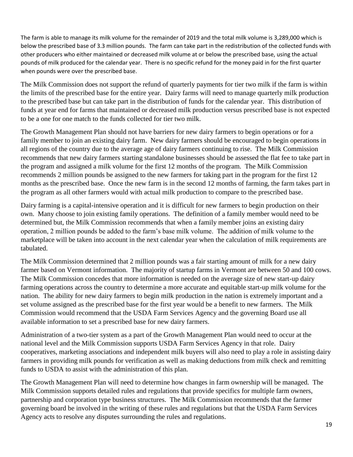The farm is able to manage its milk volume for the remainder of 2019 and the total milk volume is 3,289,000 which is below the prescribed base of 3.3 million pounds. The farm can take part in the redistribution of the collected funds with other producers who either maintained or decreased milk volume at or below the prescribed base, using the actual pounds of milk produced for the calendar year. There is no specific refund for the money paid in for the first quarter when pounds were over the prescribed base.

The Milk Commission does not support the refund of quarterly payments for tier two milk if the farm is within the limits of the prescribed base for the entire year. Dairy farms will need to manage quarterly milk production to the prescribed base but can take part in the distribution of funds for the calendar year. This distribution of funds at year end for farms that maintained or decreased milk production versus prescribed base is not expected to be a one for one match to the funds collected for tier two milk.

The Growth Management Plan should not have barriers for new dairy farmers to begin operations or for a family member to join an existing dairy farm. New dairy farmers should be encouraged to begin operations in all regions of the country due to the average age of dairy farmers continuing to rise. The Milk Commission recommends that new dairy farmers starting standalone businesses should be assessed the flat fee to take part in the program and assigned a milk volume for the first 12 months of the program. The Milk Commission recommends 2 million pounds be assigned to the new farmers for taking part in the program for the first 12 months as the prescribed base. Once the new farm is in the second 12 months of farming, the farm takes part in the program as all other farmers would with actual milk production to compare to the prescribed base.

Dairy farming is a capital-intensive operation and it is difficult for new farmers to begin production on their own. Many choose to join existing family operations. The definition of a family member would need to be determined but, the Milk Commission recommends that when a family member joins an existing dairy operation, 2 million pounds be added to the farm's base milk volume. The addition of milk volume to the marketplace will be taken into account in the next calendar year when the calculation of milk requirements are tabulated.

The Milk Commission determined that 2 million pounds was a fair starting amount of milk for a new dairy farmer based on Vermont information. The majority of startup farms in Vermont are between 50 and 100 cows. The Milk Commission concedes that more information is needed on the average size of new start-up dairy farming operations across the country to determine a more accurate and equitable start-up milk volume for the nation. The ability for new dairy farmers to begin milk production in the nation is extremely important and a set volume assigned as the prescribed base for the first year would be a benefit to new farmers. The Milk Commission would recommend that the USDA Farm Services Agency and the governing Board use all available information to set a prescribed base for new dairy farmers.

Administration of a two-tier system as a part of the Growth Management Plan would need to occur at the national level and the Milk Commission supports USDA Farm Services Agency in that role. Dairy cooperatives, marketing associations and independent milk buyers will also need to play a role in assisting dairy farmers in providing milk pounds for verification as well as making deductions from milk check and remitting funds to USDA to assist with the administration of this plan.

The Growth Management Plan will need to determine how changes in farm ownership will be managed. The Milk Commission supports detailed rules and regulations that provide specifics for multiple farm owners, partnership and corporation type business structures. The Milk Commission recommends that the farmer governing board be involved in the writing of these rules and regulations but that the USDA Farm Services Agency acts to resolve any disputes surrounding the rules and regulations.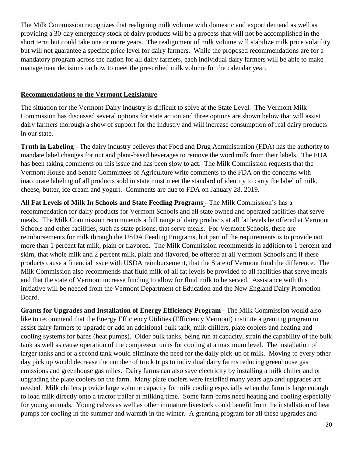The Milk Commission recognizes that realigning milk volume with domestic and export demand as well as providing a 30-day emergency stock of dairy products will be a process that will not be accomplished in the short term but could take one or more years. The realignment of milk volume will stabilize milk price volatility but will not guarantee a specific price level for dairy farmers. While the proposed recommendations are for a mandatory program across the nation for all dairy farmers, each individual dairy farmers will be able to make management decisions on how to meet the prescribed milk volume for the calendar year.

## **Recommendations to the Vermont Legislature**

The situation for the Vermont Dairy Industry is difficult to solve at the State Level. The Vermont Milk Commission has discussed several options for state action and three options are shown below that will assist dairy farmers thorough a show of support for the industry and will increase consumption of real dairy products in our state.

**Truth in Labeling** - The dairy industry believes that Food and Drug Administration (FDA) has the authority to mandate label changes for nut and plant-based beverages to remove the word milk from their labels. The FDA has been taking comments on this issue and has been slow to act. The Milk Commission requests that the Vermont House and Senate Committees of Agriculture write comments to the FDA on the concerns with inaccurate labeling of all products sold in state must meet the standard of identity to carry the label of milk, cheese, butter, ice cream and yogurt. Comments are due to FDA on January 28, 2019.

**All Fat Levels of Milk In Schools and State Feeding Programs** - The Milk Commission's has a recommendation for dairy products for Vermont Schools and all state owned and operated facilities that serve meals. The Milk Commission recommends a full range of dairy products at all fat levels be offered at Vermont Schools and other facilities, such as state prisons, that serve meals. For Vermont Schools, there are reimbursements for milk through the USDA Feeding Programs, but part of the requirements is to provide not more than 1 percent fat milk, plain or flavored. The Milk Commission recommends in addition to 1 percent and skim, that whole milk and 2 percent milk, plain and flavored, be offered at all Vermont Schools and if these products cause a financial issue with USDA reimbursement, that the State of Vermont fund the difference. The Milk Commission also recommends that fluid milk of all fat levels be provided to all facilities that serve meals and that the state of Vermont increase funding to allow for fluid milk to be served. Assistance with this initiative will be needed from the Vermont Department of Education and the New England Dairy Promotion Board.

**Grants for Upgrades and Installation of Energy Efficiency Program -** The Milk Commission would also like to recommend that the Energy Efficiency Utilities (Efficiency Vermont) institute a granting program to assist dairy farmers to upgrade or add an additional bulk tank, milk chillers, plate coolers and heating and cooling systems for barns (heat pumps). Older bulk tanks, being run at capacity, strain the capability of the bulk tank as well as cause operation of the compressor units for cooling at a maximum level. The installation of larger tanks and or a second tank would eliminate the need for the daily pick-up of milk. Moving to every other day pick up would decrease the number of truck trips to individual dairy farms reducing greenhouse gas emissions and greenhouse gas miles. Dairy farms can also save electricity by installing a milk chiller and or upgrading the plate coolers on the farm. Many plate coolers were installed many years ago and upgrades are needed. Milk chillers provide large volume capacity for milk cooling especially when the farm is large enough to load milk directly onto a tractor trailer at milking time. Some farm barns need heating and cooling especially for young animals. Young calves as well as other immature livestock could benefit from the installation of heat pumps for cooling in the summer and warmth in the winter. A granting program for all these upgrades and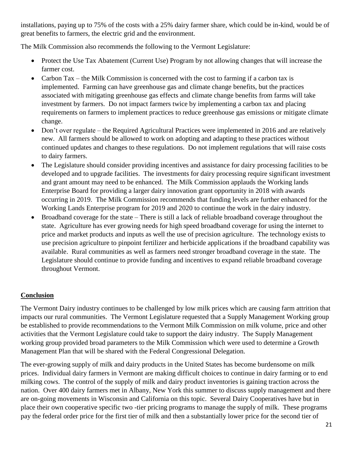installations, paying up to 75% of the costs with a 25% dairy farmer share, which could be in-kind, would be of great benefits to farmers, the electric grid and the environment.

The Milk Commission also recommends the following to the Vermont Legislature:

- Protect the Use Tax Abatement (Current Use) Program by not allowing changes that will increase the farmer cost.
- Carbon Tax the Milk Commission is concerned with the cost to farming if a carbon tax is implemented. Farming can have greenhouse gas and climate change benefits, but the practices associated with mitigating greenhouse gas effects and climate change benefits from farms will take investment by farmers. Do not impact farmers twice by implementing a carbon tax and placing requirements on farmers to implement practices to reduce greenhouse gas emissions or mitigate climate change.
- Don't over regulate the Required Agricultural Practices were implemented in 2016 and are relatively new. All farmers should be allowed to work on adopting and adapting to these practices without continued updates and changes to these regulations. Do not implement regulations that will raise costs to dairy farmers.
- The Legislature should consider providing incentives and assistance for dairy processing facilities to be developed and to upgrade facilities. The investments for dairy processing require significant investment and grant amount may need to be enhanced. The Milk Commission applauds the Working lands Enterprise Board for providing a larger dairy innovation grant opportunity in 2018 with awards occurring in 2019. The Milk Commission recommends that funding levels are further enhanced for the Working Lands Enterprise program for 2019 and 2020 to continue the work in the dairy industry.
- Broadband coverage for the state There is still a lack of reliable broadband coverage throughout the state. Agriculture has ever growing needs for high speed broadband coverage for using the internet to price and market products and inputs as well the use of precision agriculture. The technology exists to use precision agriculture to pinpoint fertilizer and herbicide applications if the broadband capability was available. Rural communities as well as farmers need stronger broadband coverage in the state. The Legislature should continue to provide funding and incentives to expand reliable broadband coverage throughout Vermont.

## **Conclusion**

The Vermont Dairy industry continues to be challenged by low milk prices which are causing farm attrition that impacts our rural communities. The Vermont Legislature requested that a Supply Management Working group be established to provide recommendations to the Vermont Milk Commission on milk volume, price and other activities that the Vermont Legislature could take to support the dairy industry. The Supply Management working group provided broad parameters to the Milk Commission which were used to determine a Growth Management Plan that will be shared with the Federal Congressional Delegation.

The ever-growing supply of milk and dairy products in the United States has become burdensome on milk prices. Individual dairy farmers in Vermont are making difficult choices to continue in dairy farming or to end milking cows. The control of the supply of milk and dairy product inventories is gaining traction across the nation. Over 400 dairy farmers met in Albany, New York this summer to discuss supply management and there are on-going movements in Wisconsin and California on this topic. Several Dairy Cooperatives have but in place their own cooperative specific two -tier pricing programs to manage the supply of milk. These programs pay the federal order price for the first tier of milk and then a substantially lower price for the second tier of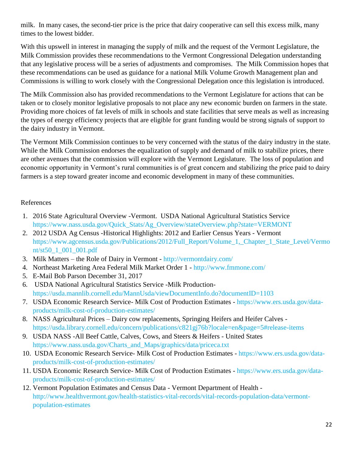milk. In many cases, the second-tier price is the price that dairy cooperative can sell this excess milk, many times to the lowest bidder.

With this upswell in interest in managing the supply of milk and the request of the Vermont Legislature, the Milk Commission provides these recommendations to the Vermont Congressional Delegation understanding that any legislative process will be a series of adjustments and compromises. The Milk Commission hopes that these recommendations can be used as guidance for a national Milk Volume Growth Management plan and Commissions is willing to work closely with the Congressional Delegation once this legislation is introduced.

The Milk Commission also has provided recommendations to the Vermont Legislature for actions that can be taken or to closely monitor legislative proposals to not place any new economic burden on farmers in the state. Providing more choices of fat levels of milk in schools and state facilities that serve meals as well as increasing the types of energy efficiency projects that are eligible for grant funding would be strong signals of support to the dairy industry in Vermont.

The Vermont Milk Commission continues to be very concerned with the status of the dairy industry in the state. While the Milk Commission endorses the equalization of supply and demand of milk to stabilize prices, there are other avenues that the commission will explore with the Vermont Legislature. The loss of population and economic opportunity in Vermont's rural communities is of great concern and stabilizing the price paid to dairy farmers is a step toward greater income and economic development in many of these communities.

## References

- 1. 2016 State Agricultural Overview -Vermont. USDA National Agricultural Statistics Service [https://www.nass.usda.gov/Quick\\_Stats/Ag\\_Overview/stateOverview.php?state=VERMONT](https://www.nass.usda.gov/Quick_Stats/Ag_Overview/stateOverview.php?state=VERMONT)
- 2. 2012 USDA Ag Census -Historical Highlights: 2012 and Earlier Census Years Vermont [https://www.agcensus.usda.gov/Publications/2012/Full\\_Report/Volume\\_1,\\_Chapter\\_1\\_State\\_Level/Vermo](https://www.agcensus.usda.gov/Publications/2012/Full_Report/Volume_1,_Chapter_1_State_Level/Vermont/st50_1_001_001.pdf) [nt/st50\\_1\\_001\\_001.pdf](https://www.agcensus.usda.gov/Publications/2012/Full_Report/Volume_1,_Chapter_1_State_Level/Vermont/st50_1_001_001.pdf)
- 3. Milk Matters the Role of Dairy in Vermont <http://vermontdairy.com/>
- 4. Northeast Marketing Area Federal Milk Market Order 1 <http://www.fmmone.com/>
- 5. E-Mail Bob Parson December 31, 2017
- 6. USDA National Agricultural Statistics Service -Milk Production<https://usda.mannlib.cornell.edu/MannUsda/viewDocumentInfo.do?documentID=1103>
- 7. USDA Economic Research Service- Milk Cost of Production Estimates [https://www.ers.usda.gov/data](https://www.ers.usda.gov/data-products/milk-cost-of-production-estimates/)[products/milk-cost-of-production-estimates/](https://www.ers.usda.gov/data-products/milk-cost-of-production-estimates/)
- 8. NASS Agricultural Prices Dairy cow replacements, Springing Heifers and Heifer Calves <https://usda.library.cornell.edu/concern/publications/c821gj76b?locale=en&page=5#release-items>
- 9. USDA NASS -All Beef Cattle, Calves, Cows, and Steers & Heifers United States [https://www.nass.usda.gov/Charts\\_and\\_Maps/graphics/data/priceca.txt](https://www.nass.usda.gov/Charts_and_Maps/graphics/data/priceca.txt)
- 10. USDA Economic Research Service- Milk Cost of Production Estimates [https://www.ers.usda.gov/data](https://www.ers.usda.gov/data-products/milk-cost-of-production-estimates/)[products/milk-cost-of-production-estimates/](https://www.ers.usda.gov/data-products/milk-cost-of-production-estimates/)
- 11. USDA Economic Research Service- Milk Cost of Production Estimates [https://www.ers.usda.gov/data](https://www.ers.usda.gov/data-products/milk-cost-of-production-estimates/)[products/milk-cost-of-production-estimates/](https://www.ers.usda.gov/data-products/milk-cost-of-production-estimates/)
- 12. Vermont Population Estimates and Census Data Vermont Department of Health [http://www.healthvermont.gov/health-statistics-vital-records/vital-records-population-data/vermont](http://www.healthvermont.gov/health-statistics-vital-records/vital-records-population-data/vermont-population-estimates)[population-estimates](http://www.healthvermont.gov/health-statistics-vital-records/vital-records-population-data/vermont-population-estimates)